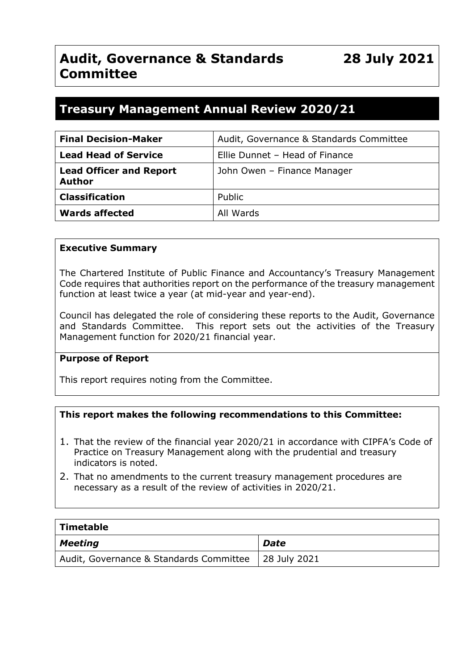# **Treasury Management Annual Review 2020/21**

| <b>Final Decision-Maker</b>                     | Audit, Governance & Standards Committee |
|-------------------------------------------------|-----------------------------------------|
| <b>Lead Head of Service</b>                     | Ellie Dunnet - Head of Finance          |
| <b>Lead Officer and Report</b><br><b>Author</b> | John Owen - Finance Manager             |
| <b>Classification</b>                           | Public                                  |
| <b>Wards affected</b>                           | All Wards                               |

#### **Executive Summary**

The Chartered Institute of Public Finance and Accountancy's Treasury Management Code requires that authorities report on the performance of the treasury management function at least twice a year (at mid-year and year-end).

Council has delegated the role of considering these reports to the Audit, Governance and Standards Committee. This report sets out the activities of the Treasury Management function for 2020/21 financial year.

#### **Purpose of Report**

This report requires noting from the Committee.

#### **This report makes the following recommendations to this Committee:**

- 1. That the review of the financial year 2020/21 in accordance with CIPFA's Code of Practice on Treasury Management along with the prudential and treasury indicators is noted.
- 2. That no amendments to the current treasury management procedures are necessary as a result of the review of activities in 2020/21.

| Timetable                                              |      |
|--------------------------------------------------------|------|
| <b>Meeting</b>                                         | Date |
| Audit, Governance & Standards Committee   28 July 2021 |      |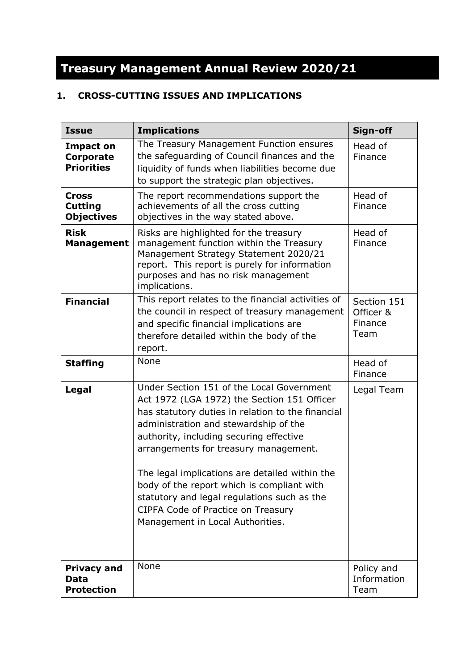# **Treasury Management Annual Review 2020/21**

## **1. CROSS-CUTTING ISSUES AND IMPLICATIONS**

| <b>Issue</b>                                              | <b>Implications</b>                                                                                                                                                                                                                                                                                                                                                                                                                                                                                 | Sign-off                                    |
|-----------------------------------------------------------|-----------------------------------------------------------------------------------------------------------------------------------------------------------------------------------------------------------------------------------------------------------------------------------------------------------------------------------------------------------------------------------------------------------------------------------------------------------------------------------------------------|---------------------------------------------|
| <b>Impact on</b><br><b>Corporate</b><br><b>Priorities</b> | The Treasury Management Function ensures<br>the safeguarding of Council finances and the<br>liquidity of funds when liabilities become due<br>to support the strategic plan objectives.                                                                                                                                                                                                                                                                                                             | Head of<br>Finance                          |
| Cross<br><b>Cutting</b><br><b>Objectives</b>              | The report recommendations support the<br>achievements of all the cross cutting<br>objectives in the way stated above.                                                                                                                                                                                                                                                                                                                                                                              | Head of<br>Finance                          |
| <b>Risk</b><br><b>Management</b>                          | Risks are highlighted for the treasury<br>management function within the Treasury<br>Management Strategy Statement 2020/21<br>report. This report is purely for information<br>purposes and has no risk management<br>implications.                                                                                                                                                                                                                                                                 | Head of<br>Finance                          |
| <b>Financial</b>                                          | This report relates to the financial activities of<br>the council in respect of treasury management<br>and specific financial implications are<br>therefore detailed within the body of the<br>report.                                                                                                                                                                                                                                                                                              | Section 151<br>Officer &<br>Finance<br>Team |
| <b>Staffing</b>                                           | None                                                                                                                                                                                                                                                                                                                                                                                                                                                                                                | Head of<br>Finance                          |
| Legal                                                     | Under Section 151 of the Local Government<br>Act 1972 (LGA 1972) the Section 151 Officer<br>has statutory duties in relation to the financial<br>administration and stewardship of the<br>authority, including securing effective<br>arrangements for treasury management.<br>The legal implications are detailed within the<br>body of the report which is compliant with<br>statutory and legal regulations such as the<br>CIPFA Code of Practice on Treasury<br>Management in Local Authorities. | Legal Team                                  |
| <b>Privacy and</b><br>Data<br><b>Protection</b>           | None                                                                                                                                                                                                                                                                                                                                                                                                                                                                                                | Policy and<br>Information<br>Team           |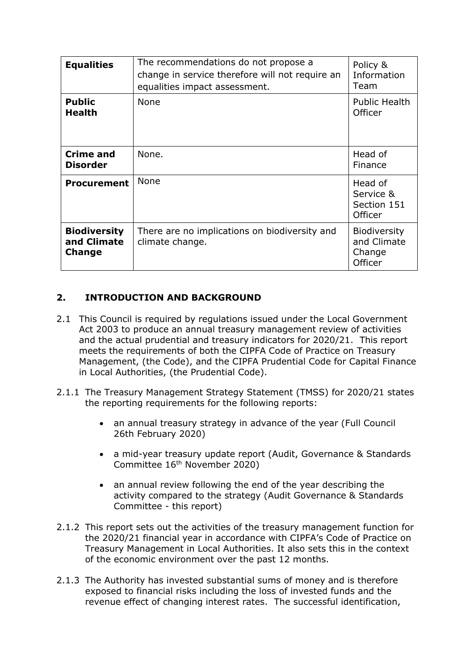| <b>Equalities</b>                                   | The recommendations do not propose a<br>change in service therefore will not require an<br>equalities impact assessment. | Policy &<br>Information<br>Team                         |
|-----------------------------------------------------|--------------------------------------------------------------------------------------------------------------------------|---------------------------------------------------------|
| <b>Public</b><br><b>Health</b>                      | None                                                                                                                     | <b>Public Health</b><br>Officer                         |
| <b>Crime and</b><br><b>Disorder</b>                 | None.                                                                                                                    | Head of<br>Finance                                      |
| <b>Procurement</b>                                  | None                                                                                                                     | Head of<br>Service &<br>Section 151<br>Officer          |
| <b>Biodiversity</b><br>and Climate<br><b>Change</b> | There are no implications on biodiversity and<br>climate change.                                                         | <b>Biodiversity</b><br>and Climate<br>Change<br>Officer |

## **2. INTRODUCTION AND BACKGROUND**

- 2.1 This Council is required by regulations issued under the Local Government Act 2003 to produce an annual treasury management review of activities and the actual prudential and treasury indicators for 2020/21. This report meets the requirements of both the CIPFA Code of Practice on Treasury Management, (the Code), and the CIPFA Prudential Code for Capital Finance in Local Authorities, (the Prudential Code).
- 2.1.1 The Treasury Management Strategy Statement (TMSS) for 2020/21 states the reporting requirements for the following reports:
	- an annual treasury strategy in advance of the year (Full Council 26th February 2020)
	- a mid-year treasury update report (Audit, Governance & Standards Committee 16 th November 2020)
	- an annual review following the end of the year describing the activity compared to the strategy (Audit Governance & Standards Committee - this report)
- 2.1.2 This report sets out the activities of the treasury management function for the 2020/21 financial year in accordance with CIPFA's Code of Practice on Treasury Management in Local Authorities. It also sets this in the context of the economic environment over the past 12 months.
- 2.1.3 The Authority has invested substantial sums of money and is therefore exposed to financial risks including the loss of invested funds and the revenue effect of changing interest rates. The successful identification,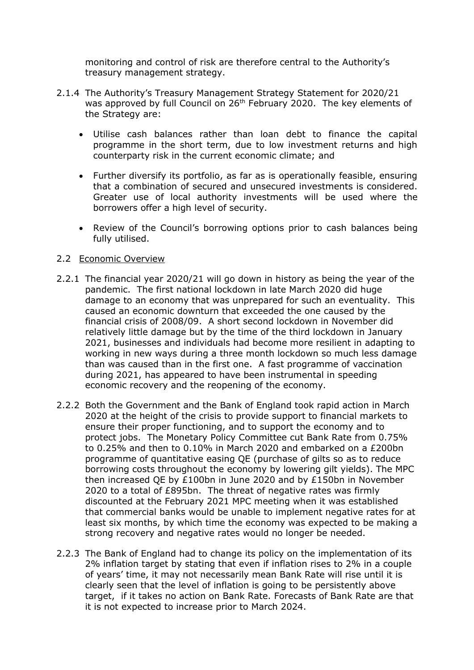monitoring and control of risk are therefore central to the Authority's treasury management strategy.

- 2.1.4 The Authority's Treasury Management Strategy Statement for 2020/21 was approved by full Council on 26<sup>th</sup> February 2020. The key elements of the Strategy are:
	- Utilise cash balances rather than loan debt to finance the capital programme in the short term, due to low investment returns and high counterparty risk in the current economic climate; and
	- Further diversify its portfolio, as far as is operationally feasible, ensuring that a combination of secured and unsecured investments is considered. Greater use of local authority investments will be used where the borrowers offer a high level of security.
	- Review of the Council's borrowing options prior to cash balances being fully utilised.

#### 2.2 Economic Overview

- 2.2.1 The financial year 2020/21 will go down in history as being the year of the pandemic. The first national lockdown in late March 2020 did huge damage to an economy that was unprepared for such an eventuality. This caused an economic downturn that exceeded the one caused by the financial crisis of 2008/09. A short second lockdown in November did relatively little damage but by the time of the third lockdown in January 2021, businesses and individuals had become more resilient in adapting to working in new ways during a three month lockdown so much less damage than was caused than in the first one. A fast programme of vaccination during 2021, has appeared to have been instrumental in speeding economic recovery and the reopening of the economy.
- 2.2.2 Both the Government and the Bank of England took rapid action in March 2020 at the height of the crisis to provide support to financial markets to ensure their proper functioning, and to support the economy and to protect jobs. The Monetary Policy Committee cut Bank Rate from 0.75% to 0.25% and then to 0.10% in March 2020 and embarked on a £200bn programme of quantitative easing QE (purchase of gilts so as to reduce borrowing costs throughout the economy by lowering gilt yields). The MPC then increased QE by £100bn in June 2020 and by £150bn in November 2020 to a total of £895bn. The threat of negative rates was firmly discounted at the February 2021 MPC meeting when it was established that commercial banks would be unable to implement negative rates for at least six months, by which time the economy was expected to be making a strong recovery and negative rates would no longer be needed.
- 2.2.3 The Bank of England had to change its policy on the implementation of its 2% inflation target by stating that even if inflation rises to 2% in a couple of years' time, it may not necessarily mean Bank Rate will rise until it is clearly seen that the level of inflation is going to be persistently above target, if it takes no action on Bank Rate. Forecasts of Bank Rate are that it is not expected to increase prior to March 2024.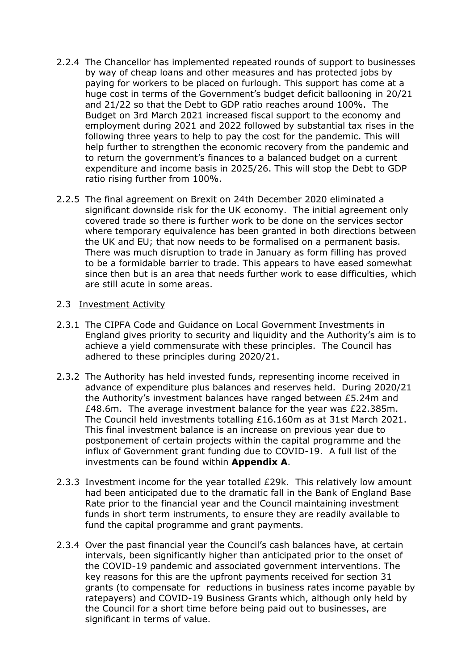- 2.2.4 The Chancellor has implemented repeated rounds of support to businesses by way of cheap loans and other measures and has protected jobs by paying for workers to be placed on furlough. This support has come at a huge cost in terms of the Government's budget deficit ballooning in 20/21 and 21/22 so that the Debt to GDP ratio reaches around 100%. The Budget on 3rd March 2021 increased fiscal support to the economy and employment during 2021 and 2022 followed by substantial tax rises in the following three years to help to pay the cost for the pandemic. This will help further to strengthen the economic recovery from the pandemic and to return the government's finances to a balanced budget on a current expenditure and income basis in 2025/26. This will stop the Debt to GDP ratio rising further from 100%.
- 2.2.5 The final agreement on Brexit on 24th December 2020 eliminated a significant downside risk for the UK economy. The initial agreement only covered trade so there is further work to be done on the services sector where temporary equivalence has been granted in both directions between the UK and EU; that now needs to be formalised on a permanent basis. There was much disruption to trade in January as form filling has proved to be a formidable barrier to trade. This appears to have eased somewhat since then but is an area that needs further work to ease difficulties, which are still acute in some areas.

#### 2.3 Investment Activity

- 2.3.1 The CIPFA Code and Guidance on Local Government Investments in England gives priority to security and liquidity and the Authority's aim is to achieve a yield commensurate with these principles. The Council has adhered to these principles during 2020/21.
- 2.3.2 The Authority has held invested funds, representing income received in advance of expenditure plus balances and reserves held. During 2020/21 the Authority's investment balances have ranged between £5.24m and £48.6m. The average investment balance for the year was £22.385m. The Council held investments totalling £16.160m as at 31st March 2021. This final investment balance is an increase on previous year due to postponement of certain projects within the capital programme and the influx of Government grant funding due to COVID-19. A full list of the investments can be found within **Appendix A**.
- 2.3.3 Investment income for the year totalled £29k. This relatively low amount had been anticipated due to the dramatic fall in the Bank of England Base Rate prior to the financial year and the Council maintaining investment funds in short term instruments, to ensure they are readily available to fund the capital programme and grant payments.
- 2.3.4 Over the past financial year the Council's cash balances have, at certain intervals, been significantly higher than anticipated prior to the onset of the COVID-19 pandemic and associated government interventions. The key reasons for this are the upfront payments received for section 31 grants (to compensate for reductions in business rates income payable by ratepayers) and COVID-19 Business Grants which, although only held by the Council for a short time before being paid out to businesses, are significant in terms of value.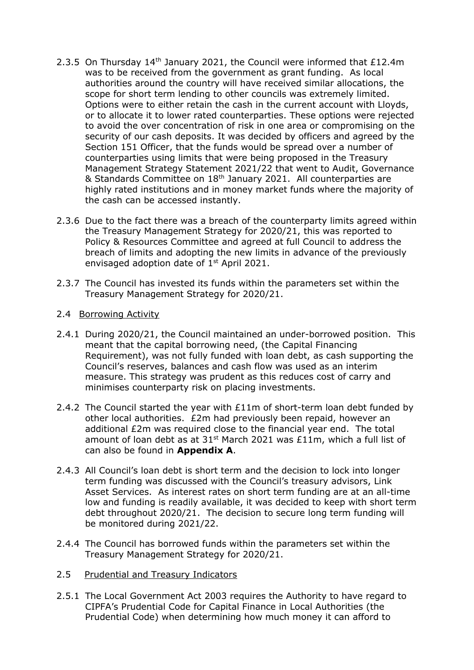- 2.3.5 On Thursday  $14<sup>th</sup>$  January 2021, the Council were informed that £12.4m was to be received from the government as grant funding. As local authorities around the country will have received similar allocations, the scope for short term lending to other councils was extremely limited. Options were to either retain the cash in the current account with Lloyds, or to allocate it to lower rated counterparties. These options were rejected to avoid the over concentration of risk in one area or compromising on the security of our cash deposits. It was decided by officers and agreed by the Section 151 Officer, that the funds would be spread over a number of counterparties using limits that were being proposed in the Treasury Management Strategy Statement 2021/22 that went to Audit, Governance & Standards Committee on 18<sup>th</sup> January 2021. All counterparties are highly rated institutions and in money market funds where the majority of the cash can be accessed instantly.
- 2.3.6 Due to the fact there was a breach of the counterparty limits agreed within the Treasury Management Strategy for 2020/21, this was reported to Policy & Resources Committee and agreed at full Council to address the breach of limits and adopting the new limits in advance of the previously envisaged adoption date of 1<sup>st</sup> April 2021.
- 2.3.7 The Council has invested its funds within the parameters set within the Treasury Management Strategy for 2020/21.
- 2.4 Borrowing Activity
- 2.4.1 During 2020/21, the Council maintained an under-borrowed position. This meant that the capital borrowing need, (the Capital Financing Requirement), was not fully funded with loan debt, as cash supporting the Council's reserves, balances and cash flow was used as an interim measure. This strategy was prudent as this reduces cost of carry and minimises counterparty risk on placing investments.
- 2.4.2 The Council started the year with £11m of short-term loan debt funded by other local authorities. £2m had previously been repaid, however an additional £2m was required close to the financial year end. The total amount of loan debt as at 31<sup>st</sup> March 2021 was £11m, which a full list of can also be found in **Appendix A**.
- 2.4.3 All Council's loan debt is short term and the decision to lock into longer term funding was discussed with the Council's treasury advisors, Link Asset Services. As interest rates on short term funding are at an all-time low and funding is readily available, it was decided to keep with short term debt throughout 2020/21. The decision to secure long term funding will be monitored during 2021/22.
- 2.4.4 The Council has borrowed funds within the parameters set within the Treasury Management Strategy for 2020/21.
- 2.5 Prudential and Treasury Indicators
- 2.5.1 The Local Government Act 2003 requires the Authority to have regard to CIPFA's Prudential Code for Capital Finance in Local Authorities (the Prudential Code) when determining how much money it can afford to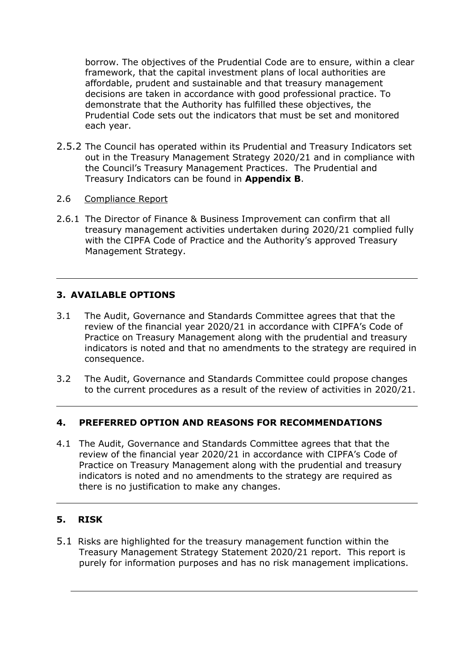borrow. The objectives of the Prudential Code are to ensure, within a clear framework, that the capital investment plans of local authorities are affordable, prudent and sustainable and that treasury management decisions are taken in accordance with good professional practice. To demonstrate that the Authority has fulfilled these objectives, the Prudential Code sets out the indicators that must be set and monitored each year.

- 2.5.2 The Council has operated within its Prudential and Treasury Indicators set out in the Treasury Management Strategy 2020/21 and in compliance with the Council's Treasury Management Practices. The Prudential and Treasury Indicators can be found in **Appendix B**.
- 2.6 Compliance Report
- 2.6.1 The Director of Finance & Business Improvement can confirm that all treasury management activities undertaken during 2020/21 complied fully with the CIPFA Code of Practice and the Authority's approved Treasury Management Strategy.

### **3. AVAILABLE OPTIONS**

- 3.1 The Audit, Governance and Standards Committee agrees that that the review of the financial year 2020/21 in accordance with CIPFA's Code of Practice on Treasury Management along with the prudential and treasury indicators is noted and that no amendments to the strategy are required in consequence.
- 3.2 The Audit, Governance and Standards Committee could propose changes to the current procedures as a result of the review of activities in 2020/21.

#### **4. PREFERRED OPTION AND REASONS FOR RECOMMENDATIONS**

4.1 The Audit, Governance and Standards Committee agrees that that the review of the financial year 2020/21 in accordance with CIPFA's Code of Practice on Treasury Management along with the prudential and treasury indicators is noted and no amendments to the strategy are required as there is no justification to make any changes.

#### **5. RISK**

5.1 Risks are highlighted for the treasury management function within the Treasury Management Strategy Statement 2020/21 report. This report is purely for information purposes and has no risk management implications.